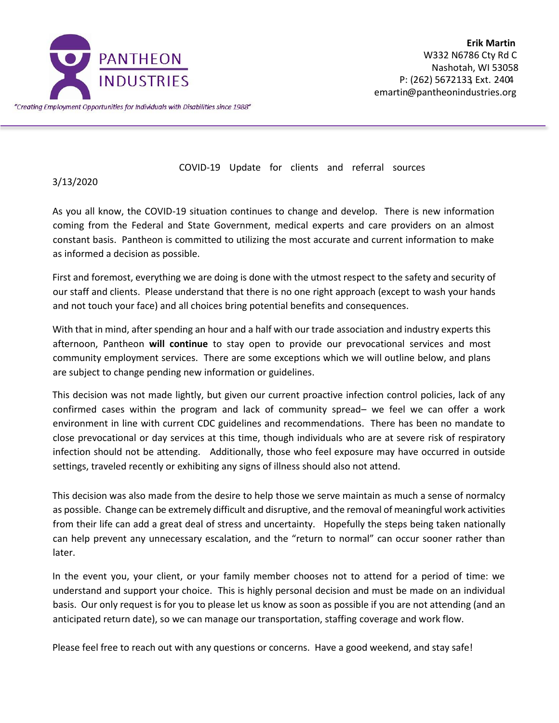

COVID-19 Update for clients and referral sources

## 3/13/2020

As you all know, the COVID-19 situation continues to change and develop. There is new information coming from the Federal and State Government, medical experts and care providers on an almost constant basis. Pantheon is committed to utilizing the most accurate and current information to make as informed a decision as possible.

First and foremost, everything we are doing is done with the utmost respect to the safety and security of our staff and clients. Please understand that there is no one right approach (except to wash your hands and not touch your face) and all choices bring potential benefits and consequences.

With that in mind, after spending an hour and a half with our trade association and industry experts this afternoon, Pantheon **will continue** to stay open to provide our prevocational services and most community employment services. There are some exceptions which we will outline below, and plans are subject to change pending new information or guidelines.

This decision was not made lightly, but given our current proactive infection control policies, lack of any confirmed cases within the program and lack of community spread– we feel we can offer a work environment in line with current CDC guidelines and recommendations. There has been no mandate to close prevocational or day services at this time, though individuals who are at severe risk of respiratory infection should not be attending. Additionally, those who feel exposure may have occurred in outside settings, traveled recently or exhibiting any signs of illness should also not attend.

This decision was also made from the desire to help those we serve maintain as much a sense of normalcy as possible. Change can be extremely difficult and disruptive, and the removal of meaningful work activities from their life can add a great deal of stress and uncertainty. Hopefully the steps being taken nationally can help prevent any unnecessary escalation, and the "return to normal" can occur sooner rather than later.

In the event you, your client, or your family member chooses not to attend for a period of time: we understand and support your choice. This is highly personal decision and must be made on an individual basis. Our only request is for you to please let us know as soon as possible if you are not attending (and an anticipated return date), so we can manage our transportation, staffing coverage and work flow.

Please feel free to reach out with any questions or concerns. Have a good weekend, and stay safe!